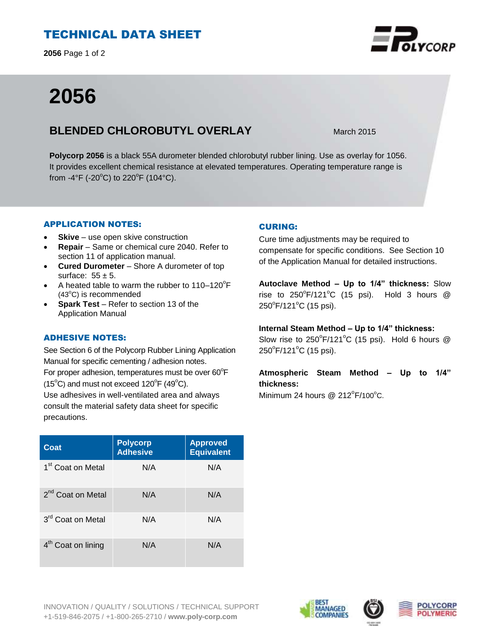# TECHNICAL DATA SHEET

**2056** Page 1 of 2

# **2056**

## **BLENDED CHLOROBUTYL OVERLAY** March 2015

**Polycorp 2056** is a black 55A durometer blended chlorobutyl rubber lining. Use as overlay for 1056. It provides excellent chemical resistance at elevated temperatures. Operating temperature range is from -4°F (-20 $^{\circ}$ C) to 220 $^{\circ}$ F (104 $^{\circ}$ C).

## APPLICATION NOTES:

- **Skive** use open skive construction
- **Repair**  Same or chemical cure 2040. Refer to section 11 of application manual.
- **Cured Durometer**  Shore A durometer of top surface:  $55 \pm 5$ .
- A heated table to warm the rubber to  $110-120^{\circ}F$  $(43^{\circ}C)$  is recommended
- **Spark Test**  Refer to section 13 of the Application Manual

## ADHESIVE NOTES:

See Section 6 of the Polycorp Rubber Lining Application Manual for specific cementing / adhesion notes. For proper adhesion, temperatures must be over  $60^{\circ}$ F  $(15^{\circ}C)$  and must not exceed  $120^{\circ}F(49^{\circ}C)$ . Use adhesives in well-ventilated area and always consult the material safety data sheet for specific precautions.

| Coat                           | <b>Polycorp</b><br><b>Adhesive</b> | <b>Approved</b><br><b>Equivalent</b> |
|--------------------------------|------------------------------------|--------------------------------------|
| 1 <sup>st</sup> Coat on Metal  | N/A                                | N/A                                  |
| 2 <sup>nd</sup> Coat on Metal  | N/A                                | N/A                                  |
| 3 <sup>rd</sup> Coat on Metal  | N/A                                | N/A                                  |
| 4 <sup>th</sup> Coat on lining | N/A                                | N/A                                  |

## CURING:

Cure time adjustments may be required to compensate for specific conditions. See Section 10 of the Application Manual for detailed instructions.

**Autoclave Method – Up to 1/4" thickness:** Slow rise to  $250^{\circ}$ F/121 $^{\circ}$ C (15 psi). Hold 3 hours @ 250°F/121°C (15 psi).

**Internal Steam Method – Up to 1/4" thickness:**

Slow rise to  $250^{\circ}$ F/121°C (15 psi). Hold 6 hours @ 250<sup>°</sup>F/121<sup>°</sup>C (15 psi).

**Atmospheric Steam Method – Up to 1/4" thickness:**

Minimum 24 hours  $@$  212 $^{\circ}$ F/100 $^{\circ}$ C.